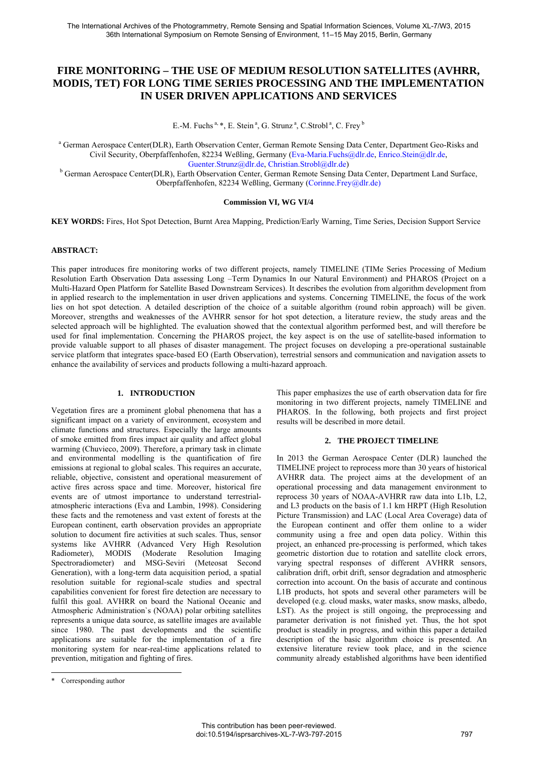# **FIRE MONITORING – THE USE OF MEDIUM RESOLUTION SATELLITES (AVHRR, MODIS, TET) FOR LONG TIME SERIES PROCESSING AND THE IMPLEMENTATION IN USER DRIVEN APPLICATIONS AND SERVICES**

E.-M. Fuchs<sup>a, \*</sup>, E. Stein<sup>a</sup>, G. Strunz<sup>a</sup>, C. Strobl<sup>a</sup>, C. Frey <sup>b</sup>

a German Aerospace Center(DLR), Earth Observation Center, German Remote Sensing Data Center, Department Geo-Risks and Civil Security, Oberpfaffenhofen, 82234 Weßling, Germany (Eva-Maria.Fuchs@dlr.de, Enrico.Stein@dlr.de,

Guenter.Strunz@dlr.de, Christian.Strobl@dlr.de)<br><sup>b</sup> German Aerospace Center(DLR), Earth Observation Center, German Remote Sensing Data Center, Department Land Surface, Oberpfaffenhofen, 82234 Weßling, Germany (Corinne.Frey@dlr.de)

### **Commission VI, WG VI/4**

**KEY WORDS:** Fires, Hot Spot Detection, Burnt Area Mapping, Prediction/Early Warning, Time Series, Decision Support Service

### **ABSTRACT:**

This paper introduces fire monitoring works of two different projects, namely TIMELINE (TIMe Series Processing of Medium Resolution Earth Observation Data assessing Long –Term Dynamics In our Natural Environment) and PHAROS (Project on a Multi-Hazard Open Platform for Satellite Based Downstream Services). It describes the evolution from algorithm development from in applied research to the implementation in user driven applications and systems. Concerning TIMELINE, the focus of the work lies on hot spot detection. A detailed description of the choice of a suitable algorithm (round robin approach) will be given. Moreover, strengths and weaknesses of the AVHRR sensor for hot spot detection, a literature review, the study areas and the selected approach will be highlighted. The evaluation showed that the contextual algorithm performed best, and will therefore be used for final implementation. Concerning the PHAROS project, the key aspect is on the use of satellite-based information to provide valuable support to all phases of disaster management. The project focuses on developing a pre-operational sustainable service platform that integrates space-based EO (Earth Observation), terrestrial sensors and communication and navigation assets to enhance the availability of services and products following a multi-hazard approach.

# **1. INTRODUCTION**

Vegetation fires are a prominent global phenomena that has a significant impact on a variety of environment, ecosystem and climate functions and structures. Especially the large amounts of smoke emitted from fires impact air quality and affect global warming (Chuvieco, 2009). Therefore, a primary task in climate and environmental modelling is the quantification of fire emissions at regional to global scales. This requires an accurate, reliable, objective, consistent and operational measurement of active fires across space and time. Moreover, historical fire events are of utmost importance to understand terrestrialatmospheric interactions (Eva and Lambin, 1998). Considering these facts and the remoteness and vast extent of forests at the European continent, earth observation provides an appropriate solution to document fire activities at such scales. Thus, sensor systems like AVHRR (Advanced Very High Resolution Radiometer), MODIS (Moderate Resolution Imaging Spectroradiometer) and MSG-Seviri (Meteosat Second Generation), with a long-term data acquisition period, a spatial resolution suitable for regional-scale studies and spectral capabilities convenient for forest fire detection are necessary to fulfil this goal. AVHRR on board the National Oceanic and Atmospheric Administration`s (NOAA) polar orbiting satellites represents a unique data source, as satellite images are available since 1980. The past developments and the scientific applications are suitable for the implementation of a fire monitoring system for near-real-time applications related to prevention, mitigation and fighting of fires.

This paper emphasizes the use of earth observation data for fire monitoring in two different projects, namely TIMELINE and PHAROS. In the following, both projects and first project results will be described in more detail.

#### **2. THE PROJECT TIMELINE**

In 2013 the German Aerospace Center (DLR) launched the TIMELINE project to reprocess more than 30 years of historical AVHRR data. The project aims at the development of an operational processing and data management environment to reprocess 30 years of NOAA-AVHRR raw data into L1b, L2, and L3 products on the basis of 1.1 km HRPT (High Resolution Picture Transmission) and LAC (Local Area Coverage) data of the European continent and offer them online to a wider community using a free and open data policy. Within this project, an enhanced pre-processing is performed, which takes geometric distortion due to rotation and satellite clock errors, varying spectral responses of different AVHRR sensors, calibration drift, orbit drift, sensor degradation and atmospheric correction into account. On the basis of accurate and continous L1B products, hot spots and several other parameters will be developed (e.g. cloud masks, water masks, snow masks, albedo, LST). As the project is still ongoing, the preprocessing and parameter derivation is not finished yet. Thus, the hot spot product is steadily in progress, and within this paper a detailed description of the basic algorithm choice is presented. An extensive literature review took place, and in the science community already established algorithms have been identified

<sup>\*</sup> Corresponding author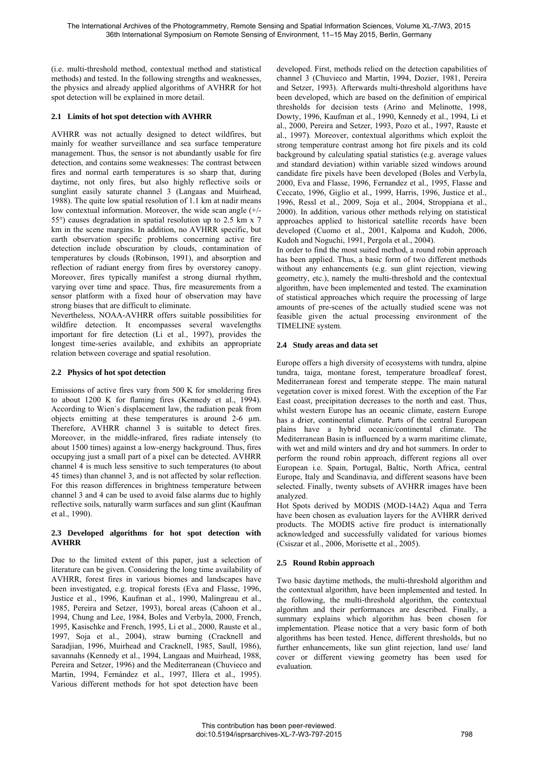(i.e. multi-threshold method, contextual method and statistical methods) and tested. In the following strengths and weaknesses, the physics and already applied algorithms of AVHRR for hot spot detection will be explained in more detail.

# **2.1 Limits of hot spot detection with AVHRR**

AVHRR was not actually designed to detect wildfires, but mainly for weather surveillance and sea surface temperature management. Thus, the sensor is not abundantly usable for fire detection, and contains some weaknesses: The contrast between fires and normal earth temperatures is so sharp that, during daytime, not only fires, but also highly reflective soils or sunglint easily saturate channel 3 (Langaas and Muirhead, 1988). The quite low spatial resolution of 1.1 km at nadir means low contextual information. Moreover, the wide scan angle (+/- 55°) causes degradation in spatial resolution up to 2.5 km x 7 km in the scene margins. In addition, no AVHRR specific, but earth observation specific problems concerning active fire detection include obscuration by clouds, contamination of temperatures by clouds (Robinson, 1991), and absorption and reflection of radiant energy from fires by overstorey canopy. Moreover, fires typically manifest a strong diurnal rhythm, varying over time and space. Thus, fire measurements from a sensor platform with a fixed hour of observation may have strong biases that are difficult to eliminate.

Nevertheless, NOAA-AVHRR offers suitable possibilities for wildfire detection. It encompasses several wavelengths important for fire detection (Li et al., 1997), provides the longest time-series available, and exhibits an appropriate relation between coverage and spatial resolution.

# **2.2 Physics of hot spot detection**

Emissions of active fires vary from 500 K for smoldering fires to about 1200 K for flaming fires (Kennedy et al., 1994). According to Wien`s displacement law, the radiation peak from objects emitting at these temperatures is around 2-6 µm. Therefore, AVHRR channel 3 is suitable to detect fires. Moreover, in the middle-infrared, fires radiate intensely (to about 1500 times) against a low-energy background. Thus, fires occupying just a small part of a pixel can be detected. AVHRR channel 4 is much less sensitive to such temperatures (to about 45 times) than channel 3, and is not affected by solar reflection. For this reason differences in brightness temperature between channel 3 and 4 can be used to avoid false alarms due to highly reflective soils, naturally warm surfaces and sun glint (Kaufman et al., 1990).

# **2.3 Developed algorithms for hot spot detection with AVHRR**

Due to the limited extent of this paper, just a selection of literature can be given. Considering the long time availability of AVHRR, forest fires in various biomes and landscapes have been investigated, e.g. tropical forests (Eva and Flasse, 1996, Justice et al., 1996, Kaufman et al., 1990, Malingreau et al., 1985, Pereira and Setzer, 1993), boreal areas (Cahoon et al., 1994, Chung and Lee, 1984, Boles and Verbyla, 2000, French, 1995, Kasischke and French, 1995, Li et al., 2000, Rauste et al., 1997, Soja et al., 2004), straw burning (Cracknell and Saradjian, 1996, Muirhead and Cracknell, 1985, Saull, 1986), savannahs (Kennedy et al., 1994, Langaas and Muirhead, 1988, Pereira and Setzer, 1996) and the Mediterranean (Chuvieco and Martin, 1994, Fernández et al., 1997, Illera et al., 1995). Various different methods for hot spot detection have been

developed. First, methods relied on the detection capabilities of channel 3 (Chuvieco and Martin, 1994, Dozier, 1981, Pereira and Setzer, 1993). Afterwards multi-threshold algorithms have been developed, which are based on the definition of empirical thresholds for decision tests (Arino and Melinotte, 1998, Dowty, 1996, Kaufman et al., 1990, Kennedy et al., 1994, Li et al., 2000, Pereira and Setzer, 1993, Pozo et al., 1997, Rauste et al., 1997). Moreover, contextual algorithms which exploit the strong temperature contrast among hot fire pixels and its cold background by calculating spatial statistics (e.g. average values and standard deviation) within variable sized windows around candidate fire pixels have been developed (Boles and Verbyla, 2000, Eva and Flasse, 1996, Fernandez et al., 1995, Flasse and Ceccato, 1996, Giglio et al., 1999, Harris, 1996, Justice et al., 1996, Ressl et al., 2009, Soja et al., 2004, Stroppiana et al., 2000). In addition, various other methods relying on statistical approaches applied to historical satellite records have been developed (Cuomo et al., 2001, Kalpoma and Kudoh, 2006, Kudoh and Noguchi, 1991, Pergola et al., 2004).

In order to find the most suited method, a round robin approach has been applied. Thus, a basic form of two different methods without any enhancements (e.g. sun glint rejection, viewing geometry, etc.), namely the multi-threshold and the contextual algorithm, have been implemented and tested. The examination of statistical approaches which require the processing of large amounts of pre-scenes of the actually studied scene was not feasible given the actual processing environment of the TIMELINE system.

# **2.4 Study areas and data set**

Europe offers a high diversity of ecosystems with tundra, alpine tundra, taiga, montane forest, temperature broadleaf forest, Mediterranean forest and temperate steppe. The main natural vegetation cover is mixed forest. With the exception of the Far East coast, precipitation decreases to the north and east. Thus, whilst western Europe has an oceanic climate, eastern Europe has a drier, continental climate. Parts of the central European plains have a hybrid oceanic/continental climate. The Mediterranean Basin is influenced by a warm maritime climate, with wet and mild winters and dry and hot summers. In order to perform the round robin approach, different regions all over European i.e. Spain, Portugal, Baltic, North Africa, central Europe, Italy and Scandinavia, and different seasons have been selected. Finally, twenty subsets of AVHRR images have been analyzed.

Hot Spots derived by MODIS (MOD-14A2) Aqua and Terra have been chosen as evaluation layers for the AVHRR derived products. The MODIS active fire product is internationally acknowledged and successfully validated for various biomes (Csiszar et al., 2006, Morisette et al., 2005).

# **2.5 Round Robin approach**

Two basic daytime methods, the multi-threshold algorithm and the contextual algorithm, have been implemented and tested. In the following, the multi-threshold algorithm, the contextual algorithm and their performances are described. Finally, a summary explains which algorithm has been chosen for implementation. Please notice that a very basic form of both algorithms has been tested. Hence, different thresholds, but no further enhancements, like sun glint rejection, land use/ land cover or different viewing geometry has been used for evaluation.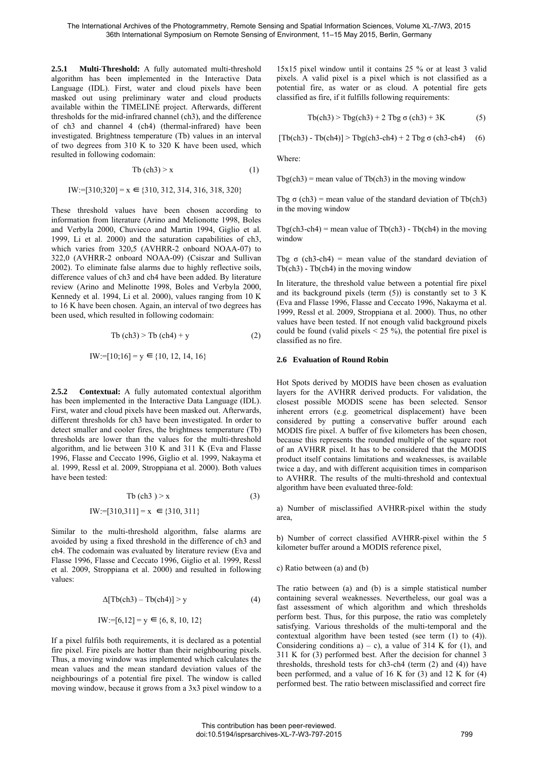**2.5.1 Multi-Threshold:** A fully automated multi-threshold algorithm has been implemented in the Interactive Data Language (IDL). First, water and cloud pixels have been masked out using preliminary water and cloud products available within the TIMELINE project. Afterwards, different thresholds for the mid-infrared channel (ch3), and the difference of ch3 and channel 4 (ch4) (thermal-infrared) have been investigated. Brightness temperature (Tb) values in an interval of two degrees from 310 K to 320 K have been used, which resulted in following codomain:

$$
Tb (ch3) > x \tag{1}
$$

$$
IW := [310; 320] = x \in \{310, 312, 314, 316, 318, 320\}
$$

These threshold values have been chosen according to information from literature (Arino and Melionotte 1998, Boles and Verbyla 2000, Chuvieco and Martin 1994, Giglio et al. 1999, Li et al. 2000) and the saturation capabilities of ch3, which varies from 320,5 (AVHRR-2 onboard NOAA-07) to 322,0 (AVHRR-2 onboard NOAA-09) (Csiszar and Sullivan 2002). To eliminate false alarms due to highly reflective soils, difference values of ch3 and ch4 have been added. By literature review (Arino and Melinotte 1998, Boles and Verbyla 2000, Kennedy et al. 1994, Li et al. 2000), values ranging from 10 K to 16 K have been chosen. Again, an interval of two degrees has been used, which resulted in following codomain:

$$
Tb (ch3) > Tb (ch4) + y \tag{2}
$$

$$
IW := [10; 16] = y \in \{10, 12, 14, 16\}
$$

**2.5.2 Contextual:** A fully automated contextual algorithm has been implemented in the Interactive Data Language (IDL). First, water and cloud pixels have been masked out. Afterwards, different thresholds for ch3 have been investigated. In order to detect smaller and cooler fires, the brightness temperature (Tb) thresholds are lower than the values for the multi-threshold algorithm, and lie between 310 K and 311 K (Eva and Flasse 1996, Flasse and Ceccato 1996, Giglio et al. 1999, Nakayma et al. 1999, Ressl et al. 2009, Stroppiana et al. 2000). Both values have been tested:

$$
Tb (ch3) > x \tag{3}
$$

$$
IW := [310, 311] = x \in \{310, 311\}
$$

Similar to the multi-threshold algorithm, false alarms are avoided by using a fixed threshold in the difference of ch3 and ch4. The codomain was evaluated by literature review (Eva and Flasse 1996, Flasse and Ceccato 1996, Giglio et al. 1999, Ressl et al. 2009, Stroppiana et al. 2000) and resulted in following values:

$$
\Delta[Tb(ch3) - Tb(ch4)] > y \tag{4}
$$
  
\n
$$
IW := [6, 12] = y \in \{6, 8, 10, 12\}
$$

If a pixel fulfils both requirements, it is declared as a potential fire pixel. Fire pixels are hotter than their neighbouring pixels. Thus, a moving window was implemented which calculates the mean values and the mean standard deviation values of the neighbourings of a potential fire pixel. The window is called moving window, because it grows from a 3x3 pixel window to a

15x15 pixel window until it contains 25 % or at least 3 valid pixels. A valid pixel is a pixel which is not classified as a potential fire, as water or as cloud. A potential fire gets classified as fire, if it fulfills following requirements:

$$
Tb(ch3) > Tbg(ch3) + 2 Tbg \sigma(ch3) + 3K
$$
 (5)

 $[Tb(ch3) - Tb(ch4)] > Tbg(ch3-ch4) + 2 Tbg σ(ch3-ch4)$  (6)

Where:

 $Tbg(ch3)$  = mean value of  $Tb(ch3)$  in the moving window

Tbg  $\sigma$  (ch3) = mean value of the standard deviation of Tb(ch3) in the moving window

Tbg(ch3-ch4) = mean value of Tb(ch3) - Tb(ch4) in the moving window

Tbg  $\sigma$  (ch3-ch4) = mean value of the standard deviation of  $Tb(ch3) - Tb(ch4)$  in the moving window

In literature, the threshold value between a potential fire pixel and its background pixels (term  $(5)$ ) is constantly set to 3 K (Eva and Flasse 1996, Flasse and Ceccato 1996, Nakayma et al. 1999, Ressl et al. 2009, Stroppiana et al. 2000). Thus, no other values have been tested. If not enough valid background pixels could be found (valid pixels  $\leq$  25 %), the potential fire pixel is classified as no fire.

### **2.6 Evaluation of Round Robin**

Hot Spots derived by MODIS have been chosen as evaluation layers for the AVHRR derived products. For validation, the closest possible MODIS scene has been selected. Sensor inherent errors (e.g. geometrical displacement) have been considered by putting a conservative buffer around each MODIS fire pixel. A buffer of five kilometers has been chosen, because this represents the rounded multiple of the square root of an AVHRR pixel. It has to be considered that the MODIS product itself contains limitations and weaknesses, is available twice a day, and with different acquisition times in comparison to AVHRR. The results of the multi-threshold and contextual algorithm have been evaluated three-fold:

a) Number of misclassified AVHRR-pixel within the study area,

b) Number of correct classified AVHRR-pixel within the 5 kilometer buffer around a MODIS reference pixel,

#### c) Ratio between (a) and (b)

The ratio between (a) and (b) is a simple statistical number containing several weaknesses. Nevertheless, our goal was a fast assessment of which algorithm and which thresholds perform best. Thus, for this purpose, the ratio was completely satisfying. Various thresholds of the multi-temporal and the contextual algorithm have been tested (see term (1) to (4)). Considering conditions  $a$ ) – c), a value of 314 K for (1), and 311 K for (3) performed best. After the decision for channel 3 thresholds, threshold tests for ch3-ch4 (term (2) and (4)) have been performed, and a value of 16 K for (3) and 12 K for (4) performed best. The ratio between misclassified and correct fire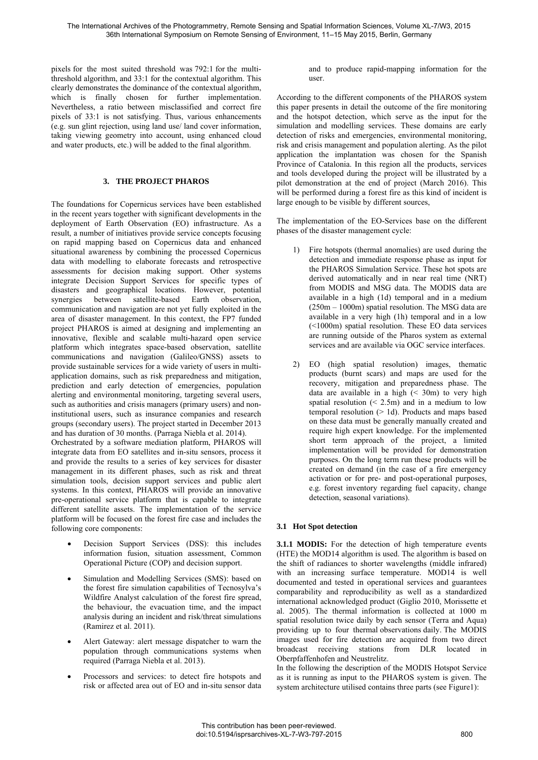pixels for the most suited threshold was 792:1 for the multithreshold algorithm, and 33:1 for the contextual algorithm. This clearly demonstrates the dominance of the contextual algorithm, which is finally chosen for further implementation. Nevertheless, a ratio between misclassified and correct fire pixels of 33:1 is not satisfying. Thus, various enhancements (e.g. sun glint rejection, using land use/ land cover information, taking viewing geometry into account, using enhanced cloud and water products, etc.) will be added to the final algorithm.

# **3. THE PROJECT PHAROS**

The foundations for Copernicus services have been established in the recent years together with significant developments in the deployment of Earth Observation (EO) infrastructure. As a result, a number of initiatives provide service concepts focusing on rapid mapping based on Copernicus data and enhanced situational awareness by combining the processed Copernicus data with modelling to elaborate forecasts and retrospective assessments for decision making support. Other systems integrate Decision Support Services for specific types of disasters and geographical locations. However, potential synergies between satellite-based Earth observation, communication and navigation are not yet fully exploited in the area of disaster management. In this context, the FP7 funded project PHAROS is aimed at designing and implementing an innovative, flexible and scalable multi-hazard open service platform which integrates space-based observation, satellite communications and navigation (Galileo/GNSS) assets to provide sustainable services for a wide variety of users in multiapplication domains, such as risk preparedness and mitigation, prediction and early detection of emergencies, population alerting and environmental monitoring, targeting several users, such as authorities and crisis managers (primary users) and noninstitutional users, such as insurance companies and research groups (secondary users). The project started in December 2013 and has duration of 30 months. (Parraga Niebla et al. 2014). Orchestrated by a software mediation platform, PHAROS will

integrate data from EO satellites and in-situ sensors, process it and provide the results to a series of key services for disaster management in its different phases, such as risk and threat simulation tools, decision support services and public alert systems. In this context, PHAROS will provide an innovative pre-operational service platform that is capable to integrate different satellite assets. The implementation of the service platform will be focused on the forest fire case and includes the following core components:

- Decision Support Services (DSS): this includes information fusion, situation assessment, Common Operational Picture (COP) and decision support.
- Simulation and Modelling Services (SMS): based on the forest fire simulation capabilities of Tecnosylva's Wildfire Analyst calculation of the forest fire spread, the behaviour, the evacuation time, and the impact analysis during an incident and risk/threat simulations (Ramirez et al. 2011).
- Alert Gateway: alert message dispatcher to warn the population through communications systems when required (Parraga Niebla et al. 2013).
- Processors and services: to detect fire hotspots and risk or affected area out of EO and in-situ sensor data

and to produce rapid-mapping information for the user.

According to the different components of the PHAROS system this paper presents in detail the outcome of the fire monitoring and the hotspot detection, which serve as the input for the simulation and modelling services. These domains are early detection of risks and emergencies, environmental monitoring, risk and crisis management and population alerting. As the pilot application the implantation was chosen for the Spanish Province of Catalonia. In this region all the products, services and tools developed during the project will be illustrated by a pilot demonstration at the end of project (March 2016). This will be performed during a forest fire as this kind of incident is large enough to be visible by different sources,

The implementation of the EO-Services base on the different phases of the disaster management cycle:

- 1) Fire hotspots (thermal anomalies) are used during the detection and immediate response phase as input for the PHAROS Simulation Service. These hot spots are derived automatically and in near real time (NRT) from MODIS and MSG data. The MODIS data are available in a high (1d) temporal and in a medium (250m – 1000m) spatial resolution. The MSG data are available in a very high (1h) temporal and in a low (<1000m) spatial resolution. These EO data services are running outside of the Pharos system as external services and are available via OGC service interfaces.
- 2) EO (high spatial resolution) images, thematic products (burnt scars) and maps are used for the recovery, mitigation and preparedness phase. The data are available in a high  $($   $\leq$  30m) to very high spatial resolution  $( $2.5m$ )$  and in a medium to low temporal resolution  $(> 1d)$ . Products and maps based on these data must be generally manually created and require high expert knowledge. For the implemented short term approach of the project, a limited implementation will be provided for demonstration purposes. On the long term run these products will be created on demand (in the case of a fire emergency activation or for pre- and post-operational purposes, e.g. forest inventory regarding fuel capacity, change detection, seasonal variations).

# **3.1 Hot Spot detection**

**3.1.1 MODIS:** For the detection of high temperature events (HTE) the MOD14 algorithm is used. The algorithm is based on the shift of radiances to shorter wavelengths (middle infrared) with an increasing surface temperature. MOD14 is well documented and tested in operational services and guarantees comparability and reproducibility as well as a standardized international acknowledged product (Giglio 2010, Morissette et al. 2005). The thermal information is collected at 1000 m spatial resolution twice daily by each sensor (Terra and Aqua) providing up to four thermal observations daily. The MODIS images used for fire detection are acquired from two direct broadcast receiving stations from DLR located in Oberpfaffenhofen and Neustrelitz.

In the following the description of the MODIS Hotspot Service as it is running as input to the PHAROS system is given. The system architecture utilised contains three parts (see Figure1):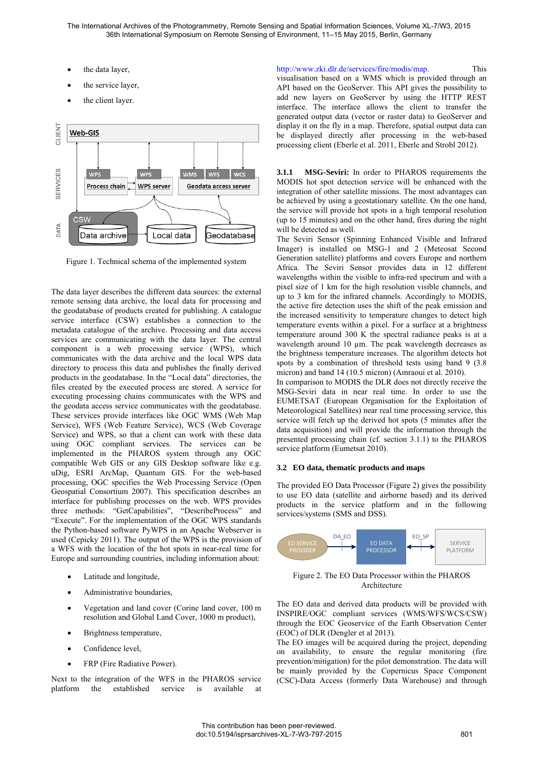The International Archives of the Photogrammetry, Remote Sensing and Spatial Information Sciences, Volume XL-7/W3, 2015 36th International Symposium on Remote Sensing of Environment, 11–15 May 2015, Berlin, Germany

- the data layer,
- the service layer,
- the client layer.



Figure 1. Technical schema of the implemented system

The data layer describes the different data sources: the external remote sensing data archive, the local data for processing and the geodatabase of products created for publishing. A catalogue service interface (CSW) establishes a connection to the metadata catalogue of the archive. Processing and data access services are communicating with the data layer. The central component is a web processing service (WPS), which communicates with the data archive and the local WPS data directory to process this data and publishes the finally derived products in the geodatabase. In the "Local data" directories, the files created by the executed process are stored. A service for executing processing chains communicates with the WPS and the geodata access service communicates with the geodatabase. These services provide interfaces like OGC WMS (Web Map Service), WFS (Web Feature Service), WCS (Web Coverage Service) and WPS, so that a client can work with these data using OGC compliant services. The services can be implemented in the PHAROS system through any OGC compatible Web GIS or any GIS Desktop software like e.g. uDig, ESRI ArcMap, Quantum GIS. For the web-based processing, OGC specifies the Web Processing Service (Open Geospatial Consortium 2007). This specification describes an interface for publishing processes on the web. WPS provides three methods: "GetCapabilities", "DescribeProcess" and "Execute". For the implementation of the OGC WPS standards the Python-based software PyWPS in an Apache Webserver is used (Cepicky 2011). The output of the WPS is the provision of a WFS with the location of the hot spots in near-real time for Europe and surrounding countries, including information about:

- Latitude and longitude,
- Administrative boundaries,
- Vegetation and land cover (Corine land cover, 100 m resolution and Global Land Cover, 1000 m product),
- Brightness temperature,
- Confidence level,
- FRP (Fire Radiative Power).

Next to the integration of the WFS in the PHAROS service platform the established service is available

http://www.zki.dlr.de/services/fire/modis/map. This visualisation based on a WMS which is provided through an API based on the GeoServer. This API gives the possibility to add new layers on GeoServer by using the HTTP REST interface. The interface allows the client to transfer the generated output data (vector or raster data) to GeoServer and display it on the fly in a map. Therefore, spatial output data can be displayed directly after processing in the web-based processing client (Eberle et al. 2011, Eberle and Strobl 2012).

**3.1.1 MSG-Seviri:** In order to PHAROS requirements the MODIS hot spot detection service will be enhanced with the integration of other satellite missions. The most advantages can be achieved by using a geostationary satellite. On the one hand, the service will provide hot spots in a high temporal resolution (up to 15 minutes) and on the other hand, fires during the night will be detected as well.

The Seviri Sensor (Spinning Enhanced Visible and Infrared Imager) is installed on MSG-1 and 2 (Meteosat Second Generation satellite) platforms and covers Europe and northern Africa. The Seviri Sensor provides data in 12 different wavelengths within the visible to infra-red spectrum and with a pixel size of 1 km for the high resolution visible channels, and up to 3 km for the infrared channels. Accordingly to MODIS, the active fire detection uses the shift of the peak emission and the increased sensitivity to temperature changes to detect high temperature events within a pixel. For a surface at a brightness temperature around 300 K the spectral radiance peaks is at a wavelength around 10 µm. The peak wavelength decreases as the brightness temperature increases. The algorithm detects hot spots by a combination of threshold tests using band 9 (3.8) micron) and band 14 (10.5 micron) (Amraoui et al. 2010).

In comparison to MODIS the DLR does not directly receive the MSG-Seviri data in near real time. In order to use the EUMETSAT (European Organisation for the Exploitation of Meteorological Satellites) near real time processing service, this service will fetch up the derived hot spots (5 minutes after the data acquisition) and will provide the information through the presented processing chain (cf. section 3.1.1) to the PHAROS service platform (Eumetsat 2010).

#### **3.2 EO data, thematic products and maps**

The provided EO Data Processor (Figure 2) gives the possibility to use EO data (satellite and airborne based) and its derived products in the service platform and in the following services/systems (SMS and DSS).



Figure 2. The EO Data Processor within the PHAROS Architecture

The EO data and derived data products will be provided with INSPIRE/OGC compliant services (WMS/WFS/WCS/CSW) through the EOC Geoservice of the Earth Observation Center (EOC) of DLR (Dengler et al 2013).

The EO images will be acquired during the project, depending on availability, to ensure the regular monitoring (fire prevention/mitigation) for the pilot demonstration. The data will be mainly provided by the Copernicus Space Component (CSC)-Data Access (formerly Data Warehouse) and through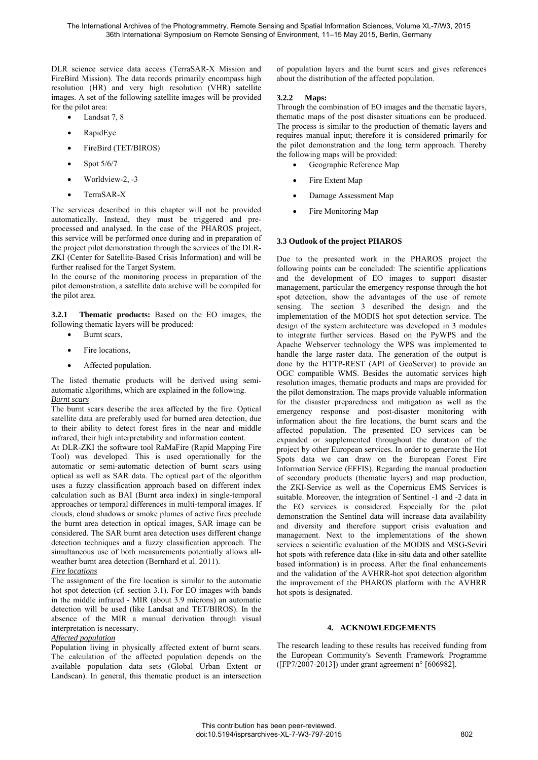DLR science service data access (TerraSAR-X Mission and FireBird Mission). The data records primarily encompass high resolution (HR) and very high resolution (VHR) satellite images. A set of the following satellite images will be provided for the pilot area:

- Landsat 7, 8
- RapidEye
- FireBird (TET/BIROS)
- $\bullet$  Spot 5/6/7
- $\bullet$  Worldview-2, -3
- TerraSAR-X

The services described in this chapter will not be provided automatically. Instead, they must be triggered and preprocessed and analysed. In the case of the PHAROS project, this service will be performed once during and in preparation of the project pilot demonstration through the services of the DLR-ZKI (Center for Satellite-Based Crisis Information) and will be further realised for the Target System.

In the course of the monitoring process in preparation of the pilot demonstration, a satellite data archive will be compiled for the pilot area.

**3.2.1 Thematic products:** Based on the EO images, the following thematic layers will be produced:

- Burnt scars,
- Fire locations,
- Affected population.

The listed thematic products will be derived using semiautomatic algorithms, which are explained in the following. *Burnt scars* 

The burnt scars describe the area affected by the fire. Optical satellite data are preferably used for burned area detection, due to their ability to detect forest fires in the near and middle infrared, their high interpretability and information content.

At DLR-ZKI the software tool RaMaFire (Rapid Mapping Fire Tool) was developed. This is used operationally for the automatic or semi-automatic detection of burnt scars using optical as well as SAR data. The optical part of the algorithm uses a fuzzy classification approach based on different index calculation such as BAI (Burnt area index) in single-temporal approaches or temporal differences in multi-temporal images. If clouds, cloud shadows or smoke plumes of active fires preclude the burnt area detection in optical images, SAR image can be considered. The SAR burnt area detection uses different change detection techniques and a fuzzy classification approach. The simultaneous use of both measurements potentially allows allweather burnt area detection (Bernhard et al. 2011).

### *Fire locations*

The assignment of the fire location is similar to the automatic hot spot detection (cf. section 3.1). For EO images with bands in the middle infrared - MIR (about 3.9 microns) an automatic detection will be used (like Landsat and TET/BIROS). In the absence of the MIR a manual derivation through visual interpretation is necessary.

### *Affected population*

Population living in physically affected extent of burnt scars. The calculation of the affected population depends on the available population data sets (Global Urban Extent or Landscan). In general, this thematic product is an intersection

of population layers and the burnt scars and gives references about the distribution of the affected population.

### **3.2.2 Maps:**

Through the combination of EO images and the thematic layers, thematic maps of the post disaster situations can be produced. The process is similar to the production of thematic layers and requires manual input; therefore it is considered primarily for the pilot demonstration and the long term approach. Thereby the following maps will be provided:

- Geographic Reference Map
- Fire Extent Map
- Damage Assessment Map
- Fire Monitoring Map

# **3.3 Outlook of the project PHAROS**

Due to the presented work in the PHAROS project the following points can be concluded: The scientific applications and the development of EO images to support disaster management, particular the emergency response through the hot spot detection, show the advantages of the use of remote sensing. The section 3 described the design and the implementation of the MODIS hot spot detection service. The design of the system architecture was developed in 3 modules to integrate further services. Based on the PyWPS and the Apache Webserver technology the WPS was implemented to handle the large raster data. The generation of the output is done by the HTTP-REST (API of GeoServer) to provide an OGC compatible WMS. Besides the automatic services high resolution images, thematic products and maps are provided for the pilot demonstration. The maps provide valuable information for the disaster preparedness and mitigation as well as the emergency response and post-disaster monitoring with information about the fire locations, the burnt scars and the affected population. The presented EO services can be expanded or supplemented throughout the duration of the project by other European services. In order to generate the Hot Spots data we can draw on the European Forest Fire Information Service (EFFIS). Regarding the manual production of secondary products (thematic layers) and map production, the ZKI-Service as well as the Copernicus EMS Services is suitable. Moreover, the integration of Sentinel -1 and -2 data in the EO services is considered. Especially for the pilot demonstration the Sentinel data will increase data availability and diversity and therefore support crisis evaluation and management. Next to the implementations of the shown services a scientific evaluation of the MODIS and MSG-Seviri hot spots with reference data (like in-situ data and other satellite based information) is in process. After the final enhancements and the validation of the AVHRR-hot spot detection algorithm the improvement of the PHAROS platform with the AVHRR hot spots is designated.

### **4. ACKNOWLEDGEMENTS**

The research leading to these results has received funding from the European Community's Seventh Framework Programme ([FP7/2007-2013]) under grant agreement n° [606982].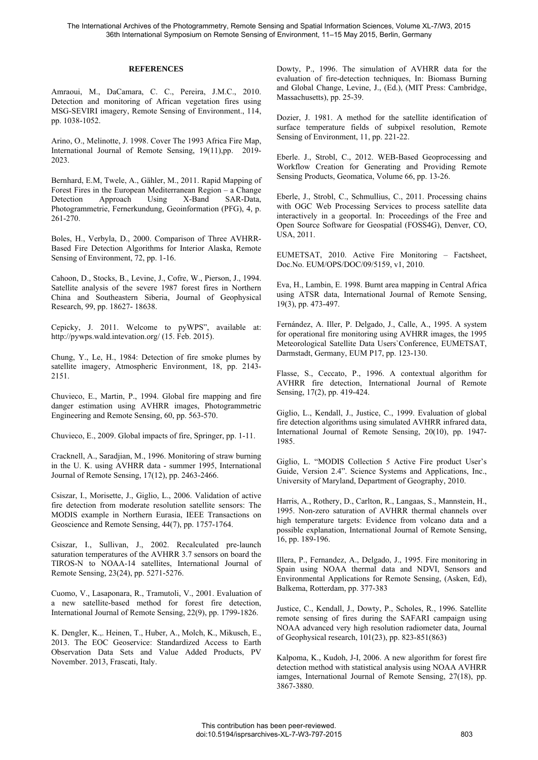### **REFERENCES**

Amraoui, M., DaCamara, C. C., Pereira, J.M.C., 2010. Detection and monitoring of African vegetation fires using MSG-SEVIRI imagery, Remote Sensing of Environment., 114, pp. 1038-1052.

Arino, O., Melinotte, J. 1998. Cover The 1993 Africa Fire Map, International Journal of Remote Sensing, 19(11),pp. 2019- 2023.

Bernhard, E.M, Twele, A., Gähler, M., 2011. Rapid Mapping of Forest Fires in the European Mediterranean Region – a Change Detection Approach Using X-Band SAR-Data, Photogrammetrie, Fernerkundung, Geoinformation (PFG), 4, p. 261-270.

Boles, H., Verbyla, D., 2000. Comparison of Three AVHRR-Based Fire Detection Algorithms for Interior Alaska, Remote Sensing of Environment, 72, pp. 1-16.

Cahoon, D., Stocks, B., Levine, J., Cofre, W., Pierson, J., 1994. Satellite analysis of the severe 1987 forest fires in Northern China and Southeastern Siberia, Journal of Geophysical Research, 99, pp. 18627- 18638.

Cepicky, J. 2011. Welcome to pyWPS", available at: http://pywps.wald.intevation.org/ (15. Feb. 2015).

Chung, Y., Le, H., 1984: Detection of fire smoke plumes by satellite imagery, Atmospheric Environment, 18, pp. 2143- 2151.

Chuvieco, E., Martin, P., 1994. Global fire mapping and fire danger estimation using AVHRR images, Photogrammetric Engineering and Remote Sensing, 60, pp. 563-570.

Chuvieco, E., 2009. Global impacts of fire, Springer, pp. 1-11.

Cracknell, A., Saradjian, M., 1996. Monitoring of straw burning in the U. K. using AVHRR data - summer 1995, International Journal of Remote Sensing, 17(12), pp. 2463-2466.

Csiszar, I., Morisette, J., Giglio, L., 2006. Validation of active fire detection from moderate resolution satellite sensors: The MODIS example in Northern Eurasia, IEEE Transactions on Geoscience and Remote Sensing, 44(7), pp. 1757-1764.

Csiszar, I., Sullivan, J., 2002. Recalculated pre-launch saturation temperatures of the AVHRR 3.7 sensors on board the TIROS-N to NOAA-14 satellites, International Journal of Remote Sensing, 23(24), pp. 5271-5276.

Cuomo, V., Lasaponara, R., Tramutoli, V., 2001. Evaluation of a new satellite-based method for forest fire detection, International Journal of Remote Sensing, 22(9), pp. 1799-1826.

K. Dengler, K.,. Heinen, T., Huber, A., Molch, K., Mikusch, E., 2013. The EOC Geoservice: Standardized Access to Earth Observation Data Sets and Value Added Products, PV November. 2013, Frascati, Italy.

Dowty, P., 1996. The simulation of AVHRR data for the evaluation of fire-detection techniques, In: Biomass Burning and Global Change, Levine, J., (Ed.), (MIT Press: Cambridge, Massachusetts), pp. 25-39.

Dozier, J. 1981. A method for the satellite identification of surface temperature fields of subpixel resolution, Remote Sensing of Environment, 11, pp. 221-22.

Eberle. J., Strobl, C., 2012. WEB-Based Geoprocessing and Workflow Creation for Generating and Providing Remote Sensing Products, Geomatica, Volume 66, pp. 13-26.

Eberle, J., Strobl, C., Schmullius, C., 2011. Processing chains with OGC Web Processing Services to process satellite data interactively in a geoportal. In: Proceedings of the Free and Open Source Software for Geospatial (FOSS4G), Denver, CO, USA, 2011.

EUMETSAT, 2010. Active Fire Monitoring – Factsheet, Doc.No. EUM/OPS/DOC/09/5159, v1, 2010.

Eva, H., Lambin, E. 1998. Burnt area mapping in Central Africa using ATSR data, International Journal of Remote Sensing, 19(3), pp. 473-497.

Fernández, A. Iller, P. Delgado, J., Calle, A., 1995. A system for operational fire monitoring using AVHRR images, the 1995 Meteorological Satellite Data Users`Conference, EUMETSAT, Darmstadt, Germany, EUM P17, pp. 123-130.

Flasse, S., Ceccato, P., 1996. A contextual algorithm for AVHRR fire detection, International Journal of Remote Sensing, 17(2), pp. 419-424.

Giglio, L., Kendall, J., Justice, C., 1999. Evaluation of global fire detection algorithms using simulated AVHRR infrared data, International Journal of Remote Sensing, 20(10), pp. 1947- 1985.

Giglio, L. "MODIS Collection 5 Active Fire product User's Guide, Version 2.4". Science Systems and Applications, Inc., University of Maryland, Department of Geography, 2010.

Harris, A., Rothery, D., Carlton, R., Langaas, S., Mannstein, H., 1995. Non-zero saturation of AVHRR thermal channels over high temperature targets: Evidence from volcano data and a possible explanation, International Journal of Remote Sensing, 16, pp. 189-196.

Illera, P., Fernandez, A., Delgado, J., 1995. Fire monitoring in Spain using NOAA thermal data and NDVI, Sensors and Environmental Applications for Remote Sensing, (Asken, Ed), Balkema, Rotterdam, pp. 377-383

Justice, C., Kendall, J., Dowty, P., Scholes, R., 1996. Satellite remote sensing of fires during the SAFARI campaign using NOAA advanced very high resolution radiometer data, Journal of Geophysical research, 101(23), pp. 823-851(863)

Kalpoma, K., Kudoh, J-I, 2006. A new algorithm for forest fire detection method with statistical analysis using NOAA AVHRR iamges, International Journal of Remote Sensing, 27(18), pp. 3867-3880.